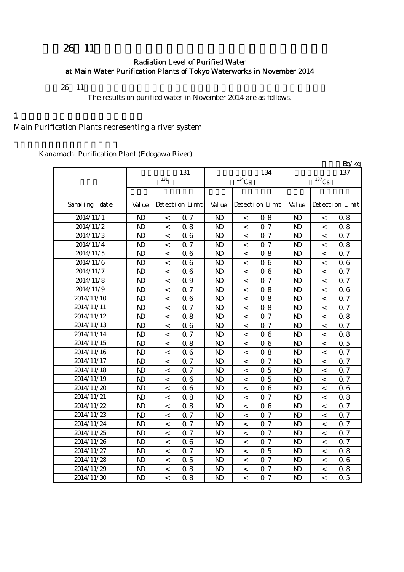# 26 11

### Radiation Level of Purified Water at Main Water Purification Plants of Tokyo Waterworks in November 2014

 $26 \t11$ 

The results on purified water in November 2014 are as follows.

#### $1$

Main Purification Plants representing a river system

Kanamachi Purification Plant (Edogawa River)

|               |              |                    |                 |                |                     |                 |                     |                          | Bq/kg           |  |
|---------------|--------------|--------------------|-----------------|----------------|---------------------|-----------------|---------------------|--------------------------|-----------------|--|
|               |              | 131                |                 |                | 134                 | 137             |                     |                          |                 |  |
|               |              | $131$ <sub>I</sub> |                 |                | $^{134}\mathrm{Cs}$ |                 | $^{137}\mathrm{Cs}$ |                          |                 |  |
|               |              |                    |                 |                |                     |                 |                     |                          |                 |  |
| Sampling date | Val ue       |                    | Detection Limit | Val ue         |                     | Detection Limit | Val ue              |                          | Detection Limit |  |
| 2014/11/1     | $\mathbf{N}$ | $\,<$              | 0.7             | $\mathbf{N}$   | $\,<\,$             | 0.8             | $\mathbf{N}$        | $\,<$                    | 0.8             |  |
| 2014/11/2     | $\mathbf{N}$ | $\,<$              | 0.8             | $\mathbf{D}$   | $\,<$               | 0.7             | $\mathbf{N}$        | $\,<$                    | 0.8             |  |
| 2014/11/3     | $\mathbf{D}$ | $\,<$              | 06              | $\mathbf{D}$   | $\,<\,$             | 0.7             | $\mathbf{N}$        | $\lt$                    | 0.7             |  |
| 2014/11/4     | $\mathbf{D}$ | $\lt$              | Q 7             | $\mathbf{D}$   | $\,<\,$             | 0.7             | $\mathbf{D}$        | $\lt$                    | 0.8             |  |
| 2014/11/5     | $\mathbf{D}$ | $\lt$              | 06              | N <sub>D</sub> | $\,<\,$             | 0.8             | $\mathbf{D}$        | $\,<\,$                  | 0.7             |  |
| 2014/11/6     | $\mathbf{D}$ | $\,<$              | 06              | N <sub>D</sub> | $\,<$               | 06              | $\mathbf{N}$        | $\,<\,$                  | 06              |  |
| 2014/11/7     | $\mathbf{D}$ | $\,<$              | 06              | N <sub>D</sub> | $\,<\,$             | 0.6             | $\mathbf{N}$        | $\,<\,$                  | 0.7             |  |
| 2014/11/8     | $\mathbf{D}$ | $\,<$              | 0.9             | N <sub>D</sub> | $\,<\,$             | 0.7             | N <sub>D</sub>      | $\,<\,$                  | 0.7             |  |
| 2014/11/9     | $\mathbf{D}$ | $\,<$              | 0.7             | N <sub>D</sub> | $\,<$               | 0.8             | N <sub>D</sub>      | $\,<\,$                  | 06              |  |
| 2014/11/10    | $\mathbf{D}$ | $\,<\,$            | 06              | N <sub>D</sub> | $\,<\,$             | 0.8             | $\mathbf{D}$        | $\,<\,$                  | 0.7             |  |
| 2014/11/11    | $\mathbf{D}$ | $\,<\,$            | 0.7             | N <sub>D</sub> | $\,<\,$             | 0.8             | $\mathbf{D}$        | $\,<\,$                  | 0.7             |  |
| 2014/11/12    | $\mathbf{D}$ | $\,<$              | 0.8             | $\mathbf{D}$   | $\,<\,$             | 0.7             | $\mathbf{D}$        | $\,<\,$                  | 0.8             |  |
| 2014/11/13    | $\mathbf{D}$ | $\,<$              | 06              | $\mathbf{D}$   | $\,<\,$             | 0.7             | N <sub>D</sub>      | $\,<\,$                  | 0.7             |  |
| 2014/11/14    | $\mathbf{D}$ | $\,<$              | 0.7             | N <sub>D</sub> | $\,<\,$             | 06              | N <sub>D</sub>      | $\,<\,$                  | 0.8             |  |
| 2014/11/15    | $\mathbf{N}$ | $\,<$              | 0.8             | $\mathbf{D}$   | $\,<\,$             | 0.6             | $\mathbf{N}$        | $\,<\,$                  | 0.5             |  |
| 2014/11/16    | $\mathbf{N}$ | $\,<$              | 06              | N <sub>D</sub> | $\,<\,$             | 0.8             | $\mathbf{N}$        | $\,<$                    | 0.7             |  |
| 2014/11/17    | $\mathbf{N}$ | $\,<$              | 0.7             | N <sub>D</sub> | $\,<\,$             | 0.7             | N <sub>D</sub>      | $\lt$                    | 0.7             |  |
| 2014/11/18    | $\mathbf{D}$ | $\,<$              | Q 7             | $\mathbf{D}$   | $\,<\,$             | 0.5             | $\mathbf{D}$        | $\lt$                    | 0.7             |  |
| 2014/11/19    | $\mathbf{D}$ | $\lt$              | 06              | $\mathbf{D}$   | $\,<\,$             | 0.5             | $\mathbf{D}$        | $\lt$                    | 0.7             |  |
| 2014/11/20    | $\mathbf{N}$ | $\,<$              | 06              | N <sub>D</sub> | $\,<$               | 06              | $\mathbf{N}$        | $\,<\,$                  | 06              |  |
| 2014/11/21    | $\mathbf{N}$ | $\,<$              | 0.8             | $\mathbf{N}$   | $\,<\,$             | 0.7             | $\mathbf{N}$        | $\,<\,$                  | 0.8             |  |
| 2014/11/22    | $\mathbf{D}$ | $\,<$              | 0.8             | N <sub>D</sub> | $\,<\,$             | 06              | N <sub>D</sub>      | $\,<\,$                  | 0.7             |  |
| 2014/11/23    | $\mathbf{D}$ | $\,<$              | 0.7             | N <sub>D</sub> | $\,<\,$             | 0.7             | N <sub>D</sub>      | $\,<\,$                  | 0.7             |  |
| 2014/11/24    | $\mathbf{N}$ | $\,<\,$            | 0.7             | $\mathbf{D}$   | $\,<\,$             | 0.7             | $\mathbf{D}$        | $\,<\,$                  | 0.7             |  |
| 2014/11/25    | $\mathbf{N}$ | $\,<\,$            | 0.7             | $\mathbf{D}$   | $\,<\,$             | 0.7             | $\mathbf{N}$        | $\,<\,$                  | 0.7             |  |
| 2014/11/26    | $\mathbf{D}$ | $\,<$              | 06              | $\mathbf{D}$   | $\,<\,$             | 0.7             | N <sub>D</sub>      | $\,<\,$                  | 0.7             |  |
| 2014/11/27    | $\mathbf{D}$ | $\,<$              | 0.7             | $\mathbf{D}$   | $\,<\,$             | 0.5             | N <sub>D</sub>      | $\,<\,$                  | 0.8             |  |
| 2014/11/28    | $\mathbf{D}$ | $\,<$              | 0.5             | $\mathbf{D}$   | $\,<\,$             | 0.7             | N <sub>D</sub>      | $\,<\,$                  | 06              |  |
| 2014/11/29    | $\mathbf{N}$ | $\,<$              | 0.8             | ND             | $\,<$               | 0.7             | N <sub>D</sub>      | $\,<\,$                  | 0.8             |  |
| 2014/11/30    | $\mathbf{N}$ | $\,<$              | 08              | N <sub>D</sub> | $\overline{a}$      | 0.7             | N <sub>D</sub>      | $\overline{\phantom{a}}$ | 0.5             |  |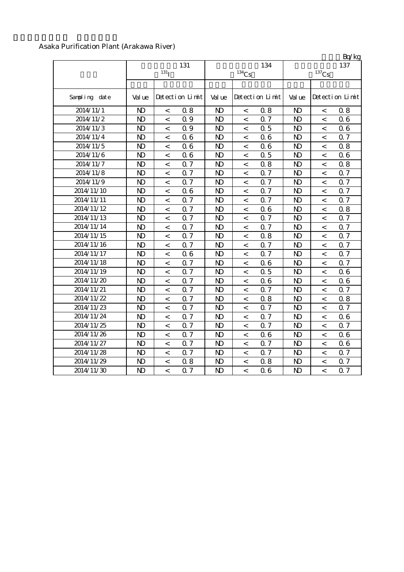### Asaka Purification Plant (Arakawa River)

|               |                |                           |  |                     |         |                 |                     |                          | Bq/kg           |  |
|---------------|----------------|---------------------------|--|---------------------|---------|-----------------|---------------------|--------------------------|-----------------|--|
|               | 131            |                           |  |                     |         | 134             | 137                 |                          |                 |  |
|               |                | 131 <sub>I</sub>          |  | $^{134}\mathrm{Cs}$ |         |                 | $^{137}\mathrm{Cs}$ |                          |                 |  |
|               |                |                           |  |                     |         |                 |                     |                          |                 |  |
| Sampling date | Val ue         | Detection Limit           |  | Val ue              |         | Detection Limit | Val ue              |                          | Detection Limit |  |
| 2014/11/1     | N <sub>D</sub> | 08<br>$\,<\,$             |  | $\mathbf{D}$        | $\,<$   | 0.8             | $\mathbf{N}$        | $\,<\,$                  | 0.8             |  |
| 2014/11/2     | $\mathbf{D}$   | 0.9<br>$\lt$              |  | N <sub>D</sub>      | $\,<\,$ | 0.7             | N <sub>D</sub>      | $\,<\,$                  | 06              |  |
| 2014/11/3     | $\mathbf{D}$   | 0.9<br>$\,<\,$            |  | $\mathbf{D}$        | $\,<$   | 0.5             | $\mathbf{D}$        | $\,<\,$                  | 06              |  |
| 2014/11/4     | $\mathbf{N}$   | 06<br>$\,<\,$             |  | N <sub>D</sub>      | $\,<\,$ | 0.6             | $\mathbf{N}$        | $\,<\,$                  | 0.7             |  |
| 2014/11/5     | $\mathbf{N}$   | 06<br>$\,<\,$             |  | N <sub>D</sub>      | $\,<$   | 06              | N <sub>D</sub>      | $\,<\,$                  | 0.8             |  |
| 2014/11/6     | $\mathbf{D}$   | 06<br>$\,<\,$             |  | $\mathbf{D}$        | $\,<\,$ | 0.5             | $\mathbf{N}$        | $\lt$                    | 06              |  |
| 2014/11/7     | $\mathbf{D}$   | Q 7<br>$\,<\,$            |  | $\mathbf{D}$        | $\,<$   | 0.8             | $\mathbf{D}$        | $\overline{\phantom{a}}$ | 0.8             |  |
| 2014/11/8     | $\mathbf{N}$   | 0.7<br>$\,<\,$            |  | $\mathbf{D}$        | $\,<\,$ | 0.7             | $\mathbf{N}$        | $\,<\,$                  | 0.7             |  |
| 2014/11/9     | $\mathbf{N}$   | 0.7<br>$\,<\,$            |  | $\mathbf{D}$        | $\,<$   | 0.7             | $\mathbf{D}$        | $\,<\,$                  | 0.7             |  |
| 2014/11/10    | $\mathbf{N}$   | 06<br>$\,<$               |  | $\mathbf{D}$        | $\,<\,$ | 0.7             | $\mathbf{N}$        | $\lt$                    | 0.7             |  |
| 2014/11/11    | $\mathbf{N}$   | Q 7<br>$\,<$              |  | $\mathbf{D}$        | $\,<\,$ | 0.7             | $\mathbf{D}$        | $\,<\,$                  | 0.7             |  |
| 2014/11/12    | $\mathbf{D}$   | Q 7<br>$\,<\,$            |  | $\mathbf{D}$        | $\,<$   | 06              | $\mathbf{D}$        | $\,<\,$                  | 0.8             |  |
| 2014/11/13    | $\mathbf{N}$   | 0.7<br>$\,<\,$            |  | N <sub>D</sub>      | $\,<\,$ | 0.7             | N <sub>D</sub>      | $\,<\,$                  | 0.7             |  |
| 2014/11/14    | $\mathbf{N}$   | 0.7<br>$\,<\,$            |  | N <sub>D</sub>      | $\,<$   | 0.7             | N <sub>D</sub>      | $\,<\,$                  | 0.7             |  |
| 2014/11/15    | N <sub>D</sub> | 0.7<br>$\lt$              |  | $\mathbf{N}$        | $\,<$   | 0.8             | N <sub>D</sub>      | $\lt$                    | 0.7             |  |
| 2014/11/16    | $\mathbf{D}$   | 0.7<br>$\,<\,$            |  | $\mathbf{D}$        | $\,<$   | 0.7             | $\mathbf{D}$        | $\overline{\phantom{a}}$ | 0.7             |  |
| 2014/11/17    | $\mathbf{N}$   | 06<br>$\,<\,$             |  | $\mathbf{D}$        | $\,<\,$ | 0.7             | $\mathbf{N}$        | $\,<\,$                  | 0.7             |  |
| 2014/11/18    | $\mathbf{N}$   | 0.7<br>$\,<\,$            |  | $\mathbf{D}$        | $\,<$   | 06              | $\mathbf{D}$        | $\,<\,$                  | 0.7             |  |
| 2014/11/19    | $\mathbf{D}$   | 0.7<br>$\lt$              |  | $\mathbf{D}$        | $\,<\,$ | 0.5             | $\mathbf{N}$        | $\lt$                    | 06              |  |
| 2014/11/20    | $\mathbf{D}$   | 0.7<br>$\,<$              |  | $\mathbf{D}$        | $\,<\,$ | 06              | $\mathbf{D}$        | $\,<\,$                  | 06              |  |
| 2014/11/21    | $\mathbf{D}$   | 0.7<br>$\,<\,$            |  | $\mathbf{D}$        | $\,<$   | 0.7             | $\mathbf{D}$        | $\,<\,$                  | 0.7             |  |
| 2014/11/22    | N <sub>D</sub> | 0.7<br>$\,<\,$            |  | N <sub>D</sub>      | $\,<$   | 0.8             | N <sub>D</sub>      | $\,<\,$                  | 0.8             |  |
| 2014/11/23    | $\mathbf{D}$   | 0.7<br>$\,<\,$            |  | N <sub>D</sub>      | $\,<$   | 0.7             | $\mathbf{N}$        | $\,<\,$                  | 0.7             |  |
| 2014/11/24    | N <sub>D</sub> | 0.7<br>$\,<\,$            |  | N <sub>D</sub>      | $\,<\,$ | 0.7             | N <sub>D</sub>      | $\,<\,$                  | 06              |  |
| 2014/11/25    | $\mathbf{D}$   | Q <sub>7</sub><br>$\,<\,$ |  | $\mathbf{D}$        | $\,<$   | 0.7             | $\mathbf{N}$        | $\,<\,$                  | 0.7             |  |
| 2014/11/26    | $\mathbf{D}$   | Q <sub>7</sub><br>$\lt$   |  | $\mathbf{D}$        | $\,<$   | 06              | $\mathbf{D}$        | $\lt$                    | 06              |  |
| 2014/11/27    | $\mathbf{N}$   | 0.7<br>$\,<\,$            |  | $\mathbf{D}$        | $\,<$   | 0.7             | $\mathbf{D}$        | $\,<\,$                  | 06              |  |
| 2014/11/28    | $\mathbf{N}$   | 0.7<br>$\,<$              |  | $\mathbf{D}$        | $\,<$   | 0.7             | $\mathbf{D}$        | $\overline{\phantom{a}}$ | 0.7             |  |
| 2014/11/29    | $\mathbf{D}$   | 08<br>$\,<\,$             |  | N <sub>D</sub>      | $\,<$   | 0.8             | $\mathbf{D}$        | $\,<\,$                  | 0.7             |  |
| 2014/11/30    | $\mathbf{D}$   | Q 7<br>$\lt$              |  | $\mathbf{D}$        | $\,<\,$ | 0.6             | $\mathbf{D}$        | $\overline{a}$           | 0.7             |  |

 $R_0/k$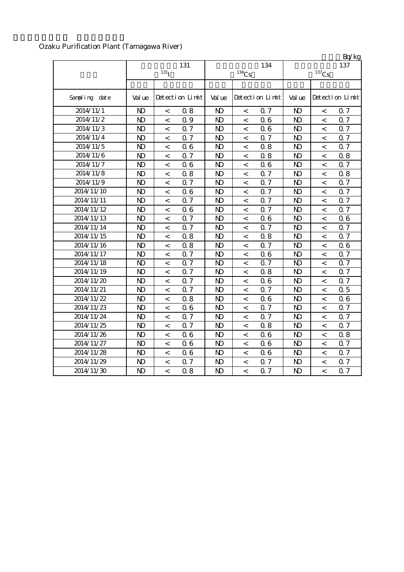# Ozaku Purification Plant (Tamagawa River)

|               |                |                          |                 |                     |         |                  |                     |                | <b>B</b> y kg    |  |
|---------------|----------------|--------------------------|-----------------|---------------------|---------|------------------|---------------------|----------------|------------------|--|
|               | 131            |                          |                 |                     |         | 134              | 137                 |                |                  |  |
|               |                | $131$ <sub>I</sub>       |                 | $^{134}\mathrm{Cs}$ |         |                  | $^{137}\mathrm{Cs}$ |                |                  |  |
|               |                |                          |                 |                     |         |                  |                     |                |                  |  |
| Sampling date | Val ue         |                          | Detection Limit | Val ue              |         | Detection Limit  | Val ue              |                | Detection Limit  |  |
| 2014/11/1     | $\mathbf{D}$   | $\,<$                    | 0.8             | $\mathbf{D}$        | $\,<$   | 0.7              | $\mathbf{D}$        | $\,<$          | 0.7              |  |
| 2014/11/2     | $\mathbf{D}$   | $\lt$                    | 0.9             | $\mathbf{D}$        | $\,<\,$ | 06               | $\mathbf{D}$        | $\lt$          | 0.7              |  |
| 2014/11/3     | $\mathbf{D}$   | $\,<\,$                  | 0.7             | $\mathbf{D}$        | $\,<\,$ | 06               | $\mathbf{D}$        | $\lt$          | $0.\overline{7}$ |  |
| 2014/11/4     | $\mathbf{N}$   | $\,<\,$                  | 0.7             | $\mathbf{D}$        | $\,<$   | 0.7              | $\mathbf{D}$        | $\lt$          | 0.7              |  |
| 2014/11/5     | $\mathbf{N}$   | $\,<\,$                  | 06              | $\mathbf{N}$        | $\,<$   | 0.8              | $\mathbf{N}$        | $\,<\,$        | 0.7              |  |
| 2014/11/6     | $\mathbf{D}$   | $\lt$                    | 0.7             | $\mathbf{D}$        | $\,<\,$ | 0.8              | $\mathbf{D}$        | $\,<\,$        | 0.8              |  |
| 2014/11/7     | $\mathbf{D}$   | $\,<\,$                  | 06              | $\mathbf{D}$        | $\,<$   | 06               | $\mathbf{D}$        | $\,<$          | 0.7              |  |
| 2014/11/8     | $\mathbf{D}$   | $\,<\,$                  | 0.8             | $\mathbf{D}$        | $\,<$   | 0.7              | $\mathbf{D}$        | $\,<$          | 0.8              |  |
| 2014/11/9     | $\mathbf{D}$   | $\,<\,$                  | 0.7             | $\mathbf{D}$        | $\,<$   | 0.7              | $\mathbf{D}$        | $\,<\,$        | 0.7              |  |
| 2014/11/10    | $\mathbf{N}$   | $\lt$                    | 06              | $\mathbf{D}$        | $\,<$   | 0.7              | $\mathbf{D}$        | $\,<$          | 0.7              |  |
| 2014/11/11    | $\mathbf{N}$   | $\,<\,$                  | 0.7             | $\mathbf{D}$        | $\,<$   | 0.7              | $\mathbf{N}$        | $\overline{a}$ | 0.7              |  |
| 2014/11/12    | $\mathbf{D}$   | $\,<\,$                  | 06              | $\mathbf{D}$        | $\,<\,$ | $0.\overline{7}$ | $\mathbf{D}$        | $\lt$          | 0.7              |  |
| 2014/11/13    | $\mathbf{N}$   | $\lt$                    | 0.7             | $\mathbf{D}$        | $\,<$   | 06               | $\mathbf{N}$        | $\,<\,$        | 06               |  |
| 2014/11/14    | $\mathbf{D}$   | $\,<\,$                  | 0.7             | N <sub>D</sub>      | $\,<$   | 0.7              | $\mathbf{N}$        | $\,<\,$        | 0.7              |  |
| 2014/11/15    | $\mathbf{D}$   | $\overline{\phantom{a}}$ | 0.8             | N <sub>D</sub>      | $\,<\,$ | 0.8              | $\mathbf{D}$        | $\lt$          | 0.7              |  |
| 2014/11/16    | $\mathbf{D}$   | $\,<\,$                  | 08              | $\mathbf{D}$        | $\,<$   | 0.7              | $\mathbf{D}$        | $\,<$          | 06               |  |
| 2014/11/17    | $\mathbf{N}$   | $\,<\,$                  | Q 7             | $\mathbf{D}$        | $\,<$   | 06               | $\mathbf{D}$        | $\,<$          | 0.7              |  |
| 2014/11/18    | $\mathbf{D}$   | $\,<\,$                  | 0.7             | $\mathbf{D}$        | $\,<$   | 0.7              | $\mathbf{D}$        | $\,<\,$        | 0.7              |  |
| 2014/11/19    | $\mathbf{N}$   | $\,<$                    | 0.7             | $\mathbf{D}$        | $\,<$   | 0.8              | $\mathbf{D}$        | $\,<$          | 0.7              |  |
| 2014/11/20    | $\mathbf{D}$   | $\overline{\phantom{a}}$ | 0.7             | $\mathbf{D}$        | $\,<$   | 06               | $\mathbf{D}$        | $\,<$          | 0.7              |  |
| 2014/11/21    | $\mathbf{N}$   | $\,<\,$                  | 0.7             | $\mathbf{D}$        | $\,<$   | 0.7              | $\mathbf{D}$        | $\lt$          | 0.5              |  |
| 2014/11/22    | $\mathbf{D}$   | $\,<\,$                  | 0.8             | $\mathbf{D}$        | $\,<$   | 0.6              | $\mathbf{D}$        | $\,<\,$        | 06               |  |
| 2014/11/23    | $\mathbf{D}$   | $\,<\,$                  | 06              | $\mathbf{D}$        | $\,<$   | 0.7              | $\mathbf{D}$        | $\,<\,$        | 0.7              |  |
| 2014/11/24    | $\mathbf{N}$   | $\,<\,$                  | Q <sub>7</sub>  | $\mathbf{N}$        | $\,<$   | 0.7              | N <sub>D</sub>      | $\,<\,$        | 0.7              |  |
| 2014/11/25    | $\mathbf{D}$   | $\,<\,$                  | 0.7             | $\mathbf{D}$        | $\,<$   | 0.8              | N <sub>D</sub>      | $\,<\,$        | 0.7              |  |
| 2014/11/26    | $\mathbf{N}$   | $\lt$                    | 06              | $\mathbf{D}$        | $\,<\,$ | 06               | $\mathbf{D}$        | $\,<\,$        | 0.8              |  |
| 2014/11/27    | $\mathbf{D}$   | $\,<$                    | 06              | $\mathbf{D}$        | $\,<$   | 0.6              | $\mathbf{D}$        | $\,<$          | 0.7              |  |
| 2014/11/28    | $\mathbf{N}$   | $\,<\,$                  | 06              | $\mathbf{D}$        | $\,<$   | 06               | $\mathbf{D}$        | $\,<\,$        | 0.7              |  |
| 2014/11/29    | $\mathbf{D}$   | $\,<\,$                  | 0.7             | N <sub>D</sub>      | $\,<$   | 0.7              | $\mathbf{D}$        | $\,<\,$        | 0.7              |  |
| 2014/11/30    | N <sub>D</sub> | $\overline{a}$           | 0.8             | $\mathbf{D}$        | $\lt$   | 0.7              | $\mathbf{D}$        | $\overline{a}$ | 0.7              |  |

 $Rn/kg$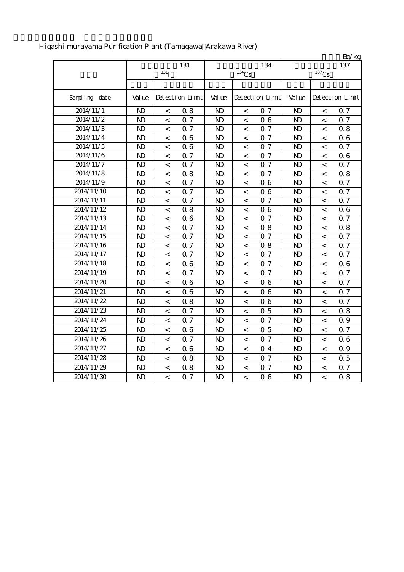|               |                |                          |                 |                |                          |                 |                     |                          | Bq/kg           |  |
|---------------|----------------|--------------------------|-----------------|----------------|--------------------------|-----------------|---------------------|--------------------------|-----------------|--|
|               |                |                          | 131             |                |                          | 134             |                     |                          | 137             |  |
|               |                | $131$ <sub>I</sub>       |                 |                | $134$ Cs                 |                 | $^{137}\mathrm{Cs}$ |                          |                 |  |
|               |                |                          |                 |                |                          |                 |                     |                          |                 |  |
| Sampling date | Val ue         |                          | Detection Limit | Val ue         |                          | Detection Limit | Val ue              |                          | Detection Limit |  |
| 2014/11/1     | N <sub>D</sub> | $\,<\,$                  | 08              | $\mathbf{N}$   | $\lt$                    | 0.7             | $\mathbf{N}$        | $\,<\,$                  | 0.7             |  |
| 2014/11/2     | $\mathbf{N}$   | $\,<$                    | Q <sub>7</sub>  | $\mathbf{D}$   | $\,<\,$                  | 06              | $\mathbf{D}$        | $\,<$                    | 0.7             |  |
| 2014/11/3     | $\mathbf{N}$   | $\,<$                    | Q 7             | $\mathbf{N}$   | $\,<\,$                  | 0.7             | $\mathbf{N}$        | $\lt$                    | 0.8             |  |
| 2014/11/4     | N <sub>D</sub> | $\,<$                    | 06              | $\mathbf{D}$   | $\,<\,$                  | 0.7             | $\mathbf{D}$        | $\,<$                    | 06              |  |
| 2014/11/5     | $\mathbf{N}$   | $\,<$                    | 06              | $\mathbf{N}$   | $\,<$                    | 0.7             | $\mathbf{N}$        | $\,<$                    | 0.7             |  |
| 2014/11/6     | N <sub>D</sub> | $\,<\,$                  | Q <sub>7</sub>  | $\mathbf{D}$   | $\,<\,$                  | 0.7             | $\mathbf{D}$        | $\,<\,$                  | 0.6             |  |
| 2014/11/7     | N <sub>D</sub> | $\overline{\phantom{a}}$ | Q <sub>7</sub>  | $\mathbf{D}$   | $\overline{\phantom{a}}$ | 0.7             | $\mathbf{D}$        | $\,<\,$                  | 0.7             |  |
| 2014/11/8     | $\mathbf{N}$   | $\overline{\phantom{a}}$ | 0.8             | $\mathbf{N}$   | $\,<$                    | <b>Q7</b>       | $\mathbf{N}$        | $\,<\,$                  | 0.8             |  |
| 2014/11/9     | N <sub>D</sub> | $\,<\,$                  | 0.7             | $\mathbf{D}$   | $\,<$                    | 06              | $\mathbf{D}$        | $\overline{\phantom{a}}$ | 0.7             |  |
| 2014/11/10    | N <sub>D</sub> | $\overline{\phantom{a}}$ | 0.7             | $\mathbf{D}$   | $\,<$                    | 0.6             | $\mathbf{D}$        | $\,<$                    | 0.7             |  |
| 2014/11/11    | $\mathbf{N}$   | $\,<\,$                  | Q 7             | $\mathbf{D}$   | $\,<\,$                  | Q 7             | $\mathbf{N}$        | $\,<\,$                  | 0.7             |  |
| 2014/11/12    | N <sub>D</sub> | $\,<\,$                  | 0.8             | N <sub>D</sub> | $\,<\,$                  | 06              | $\mathbf{D}$        | $\,<$                    | 06              |  |
| 2014/11/13    | N <sub>D</sub> | $\,<\,$                  | 06              | $\mathbf{D}$   | $\,<\,$                  | 0.7             | $\mathbf{N}$        | $\,<$                    | 0.7             |  |
| 2014/11/14    | N <sub>D</sub> | $\lt$                    | Q <sub>7</sub>  | $\mathbf{D}$   | $\lt$                    | 0.8             | N <sub>D</sub>      | $\overline{\phantom{a}}$ | 0.8             |  |
| 2014/11/15    | N <sub>D</sub> | $\lt$                    | 0.7             | $\mathbf{D}$   | $\,<\,$                  | 0.7             | $\mathbf{D}$        | $\overline{\phantom{a}}$ | 0.7             |  |
| 2014/11/16    | $\mathbf{D}$   | $\,<$                    | 0.7             | $\mathbf{D}$   | $\,<$                    | 0.8             | $\mathbf{D}$        | $\overline{\phantom{a}}$ | 0.7             |  |
| 2014/11/17    | $\mathbf{D}$   | $\,<\,$                  | 0.7             | $\mathbf{D}$   | $\,<$                    | 0.7             | $\mathbf{D}$        | $\,<\,$                  | 0.7             |  |
| 2014/11/18    | $\mathbf{D}$   | $\,<\,$                  | 06              | $\mathbf{D}$   | $\,<\,$                  | 0.7             | $\mathbf{D}$        | $\,<\,$                  | 06              |  |
| 2014/11/19    | $\mathbf{N}$   | $\,<$                    | 0.7             | $\mathbf{D}$   | $\,<$                    | 0.7             | $\mathbf{D}$        | $\,<\,$                  | 0.7             |  |
| 2014/11/20    | N <sub>D</sub> | $\,<$                    | 06              | $\mathbf{D}$   | $\,<\,$                  | 06              | $\mathbf{D}$        | $\,<$                    | 0.7             |  |
| 2014/11/21    | $\mathbf{D}$   | $\,<$                    | 06              | $\mathbf{D}$   | $\,<$                    | 06              | $\mathbf{D}$        | $\,<\,$                  | 0.7             |  |
| 2014/11/22    | $\mathbf{D}$   | $\overline{\phantom{a}}$ | 0.8             | $\mathbf{D}$   | $\,<$                    | 0.6             | $\mathbf{D}$        | $\,<$                    | 0.7             |  |
| 2014/11/23    | N <sub>D</sub> | $\lt$                    | 0.7             | $\mathbf{N}$   | $\lt$                    | 0.5             | $\mathbf{D}$        | $\overline{\phantom{a}}$ | 0.8             |  |
| 2014/11/24    | $\mathbf{D}$   | $\,<\,$                  | 0.7             | $\mathbf{D}$   | $\,<$                    | 0.7             | $\mathbf{D}$        | $\,<\,$                  | 0.9             |  |
| 2014/11/25    | $\mathbf{N}$   | $\,<\,$                  | 06              | $\mathbf{D}$   | $\,<\,$                  | 0.5             | $\mathbf{D}$        | $\,<\,$                  | 0.7             |  |
| 2014/11/26    | $\mathbf{N}$   | $\,<$                    | 0.7             | $\mathbf{N}$   | $\,<\,$                  | 0.7             | $\mathbf{D}$        | $\,<$                    | 06              |  |
| 2014/11/27    | $\mathbf{D}$   | $\,<\,$                  | 06              | $\mathbf{D}$   | $\,<\,$                  | 0.4             | $\mathbf{D}$        | $\,<\,$                  | $0.9\,$         |  |
| 2014/11/28    | $\mathbf{D}$   | $\,<\,$                  | 0.8             | $\mathbf{D}$   | $\,<\,$                  | 0.7             | $\mathbf{N}$        | $\,<\,$                  | 0.5             |  |
| 2014/11/29    | N <sub>D</sub> | $\,<\,$                  | 0.8             | N <sub>D</sub> | $\,<$                    | 0.7             | $\mathbf{D}$        | $\,<$                    | 0.7             |  |
| 2014/11/30    | $\mathbf{D}$   | $\lt$                    | 0.7             | $\mathbf{D}$   | $\lt$                    | 06              | $\mathbf{D}$        | $\overline{\phantom{a}}$ | 0.8             |  |

# Higashi-murayama Purification Plant (Tamagawa Arakawa River)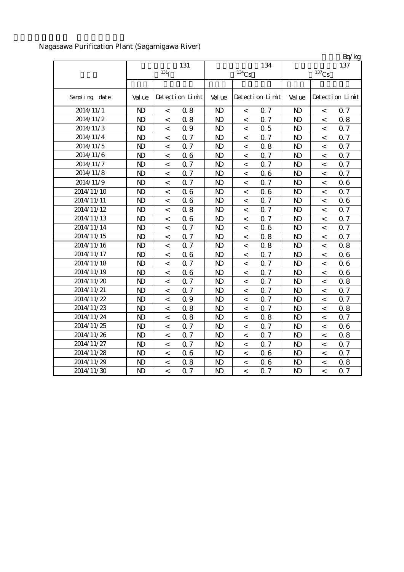Nagasawa Purification Plant (Sagamigawa River)

|                         |                |                          |                 |              |                          |                 |                     |                          | Bq/kg           |  |
|-------------------------|----------------|--------------------------|-----------------|--------------|--------------------------|-----------------|---------------------|--------------------------|-----------------|--|
|                         |                | 131                      |                 |              | 134                      | 137             |                     |                          |                 |  |
|                         |                | 131 <sub>I</sub>         |                 |              | $134$ Cs                 |                 | $^{137}\mathrm{Cs}$ |                          |                 |  |
|                         |                |                          |                 |              |                          |                 |                     |                          |                 |  |
| Sampling date           | Val ue         |                          | Detection Limit | Val ue       |                          | Detection Limit | Val ue              |                          | Detection Limit |  |
| 2014/11/1               | $\mathbf{N}$   | $\,<\,$                  | 0.8             | $\mathbf{N}$ | $\,<\,$                  | 0.7             | $\mathbf{N}$        | $\,<$                    | 0.7             |  |
| 2014/11/2               | $\mathbf{N}$   | $\,<\,$                  | 0.8             | $\mathbf{D}$ | $\,<$                    | 0.7             | $\mathbf{D}$        | $\,<$                    | 0.8             |  |
| 2014/11/3               | $\mathbf{N}$   | $\overline{\phantom{a}}$ | 0.9             | $\mathbf{N}$ | $\,<$                    | 0.5             | $\mathbf{D}$        | $\,<$                    | 0.7             |  |
| 2014/11/4               | $\mathbf{D}$   | $\overline{\phantom{a}}$ | 0.7             | $\mathbf{D}$ | $\,<$                    | 0.7             | $\mathbf{D}$        | $\overline{\phantom{a}}$ | 0.7             |  |
| 2014/11/5               | $\mathbf{D}$   | $\overline{\phantom{a}}$ | 0.7             | $\mathbf{D}$ | $\,<$                    | 0.8             | N <sub>D</sub>      | $\lt$                    | 0.7             |  |
| 2014/11/6               | $\mathbf{N}$   | $\prec$                  | 06              | $\mathbf{D}$ | $\,<$                    | 0.7             | $\mathbf{D}$        | $\,<\,$                  | 0.7             |  |
| 2014/11/7               | $\mathbf{N}$   | $\,<\,$                  | 0.7             | $\mathbf{D}$ | $\,<\,$                  | 0.7             | $\mathbf{N}$        | $\lt$                    | 0.7             |  |
| 2014/11/8               | $\mathbf{D}$   | $\,<\,$                  | 0.7             | $\mathbf{N}$ | $\,<$                    | 06              | $\mathbf{N}$        | $\,<\,$                  | 0.7             |  |
| 2014/11/9               | $\mathbf{D}$   | $\,<\,$                  | 0.7             | $\mathbf{D}$ | $\,<\,$                  | 0.7             | $\mathbf{N}$        | $\,<$                    | 06              |  |
| 2014/11/10              | $\mathbf{N}$   | $\,<\,$                  | 06              | $\mathbf{D}$ | $\,<$                    | 06              | $\mathbf{N}$        | $\overline{\phantom{a}}$ | 0.7             |  |
| 2014/11/11              | $\mathbf{D}$   | $\,<\,$                  | 06              | $\mathbf{D}$ | $\,<$                    | 0.7             | $\mathbf{D}$        | $\,<$                    | 06              |  |
| 2014/11/12              | $\mathbf{N}$   | $\,<\,$                  | 0.8             | $\mathbf{D}$ | $\,<$                    | 0.7             | $\mathbf{N}$        | $\,<$                    | 0.7             |  |
| 2014/11/13              | $\mathbf{N}$   | $\,<\,$                  | 06              | $\mathbf{D}$ | $\,<$                    | 0.7             | $\mathbf{D}$        | $\,<\,$                  | 0.7             |  |
| $\overline{2014}/11/14$ | $\mathbf{D}$   | $\overline{\phantom{0}}$ | 0.7             | $\mathbf{D}$ | $\,<$                    | 06              | $\mathbf{D}$        | $\,<$                    | 0.7             |  |
| 2014/11/15              | N <sub>D</sub> | $\overline{\phantom{a}}$ | Q 7             | $\mathbf{D}$ | $\,<$                    | 0.8             | $\mathbf{D}$        | $\overline{\phantom{a}}$ | 0.7             |  |
| 2014/11/16              | $\mathbf{D}$   | $\,<\,$                  | Q 7             | $\mathbf{D}$ | $\,<$                    | 0.8             | $\mathbf{D}$        | $\lt$                    | 0.8             |  |
| 2014/11/17              | $\mathbf{D}$   | $\overline{\phantom{a}}$ | 06              | $\mathbf{D}$ | $\lt$                    | 0.7             | $\mathbf{D}$        | $\lt$                    | 06              |  |
| 2014/11/18              | $\mathbf{N}$   | $\,<\,$                  | 0.7             | $\mathbf{D}$ | $\,<$                    | 0.7             | $\mathbf{N}$        | $\,<\,$                  | 06              |  |
| 2014/11/19              | $\mathbf{D}$   | $\,<\,$                  | 06              | $\mathbf{D}$ | $\,<$                    | 0.7             | $\mathbf{N}$        | $\,<\,$                  | 06              |  |
| 2014/11/20              | $\mathbf{D}$   | $\lt$                    | 0.7             | $\mathbf{D}$ | $\,<\,$                  | 0.7             | $\mathbf{N}$        | $\,<$                    | 0.8             |  |
| 2014/11/21              | $\mathbf{D}$   | $\,<\,$                  | 0.7             | $\mathbf{D}$ | $\,<\,$                  | 0.7             | $\mathbf{N}$        | $\,<$                    | 0.7             |  |
| 2014/11/22              | $\mathbf{D}$   | $\,<\,$                  | 0.9             | $\mathbf{D}$ | $\,<\,$                  | 0.7             | $\mathbf{N}$        | $\lt$                    | 0.7             |  |
| 2014/11/23              | $\mathbf{D}$   | $\,<\,$                  | 0.8             | $\mathbf{N}$ | $\,<\,$                  | 0.7             | $\mathbf{D}$        | $\,<$                    | 0.8             |  |
| 2014/11/24              | $\mathbf{N}$   | $\,<\,$                  | 0.8             | $\mathbf{D}$ | $\,<$                    | 0.8             | $\mathbf{D}$        | $\,<$                    | 0.7             |  |
| 2014/11/25              | $\mathbf{D}$   | $\,<\,$                  | 0.7             | $\mathbf{D}$ | $\,<$                    | 0.7             | $\mathbf{D}$        | $\lt$                    | 06              |  |
| 2014/11/26              | $\mathbf{D}$   | $\,<\,$                  | 0.7             | $\mathbf{N}$ | $\,<$                    | 0.7             | $\mathbf{D}$        | $\,<\,$                  | 0.8             |  |
| 2014/11/27              | $\mathbf{D}$   | $\,<\,$                  | 0.7             | $\mathbf{N}$ | $\,<$                    | 0.7             | $\mathbf{D}$        | $\,<$                    | 0.7             |  |
| 2014/11/28              | $\mathbf{D}$   | $\lt$                    | 06              | $\mathbf{N}$ | $\,<$                    | 06              | $\mathbf{D}$        | $\lt$                    | 0.7             |  |
| 2014/11/29              | $\mathbf{D}$   | $\,<\,$                  | 0.8             | $\mathbf{D}$ | $\,<$                    | 0.6             | $\mathbf{D}$        | $\,<\,$                  | 0.8             |  |
| 2014/11/30              | $\mathbf{D}$   | $\overline{a}$           | $0.7\,$         | $\mathbf{D}$ | $\overline{\phantom{a}}$ | 0.7             | $\mathbf{D}$        | $\overline{a}$           | 0.7             |  |